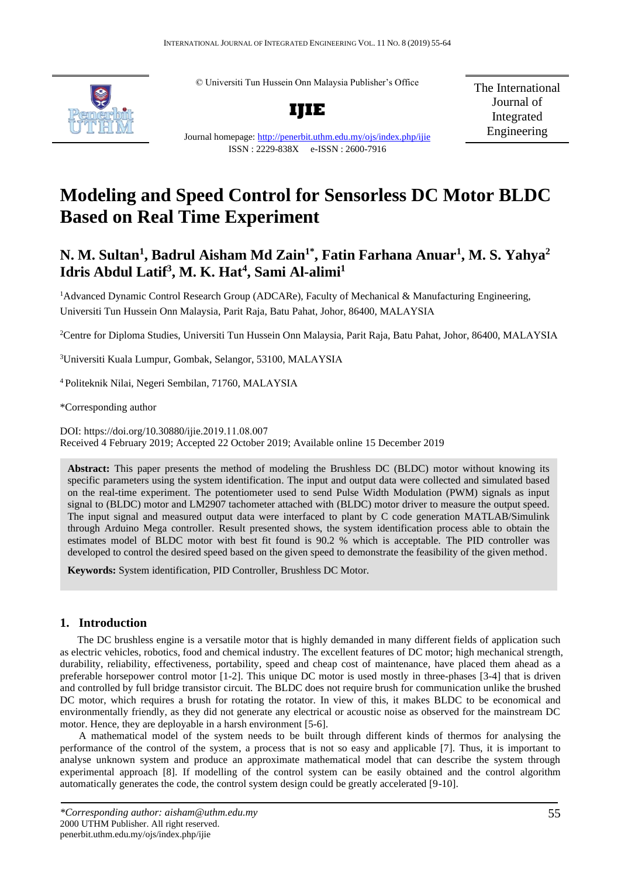© Universiti Tun Hussein Onn Malaysia Publisher's Office



**IJIE**

The International Journal of Integrated Engineering

Journal homepage:<http://penerbit.uthm.edu.my/ojs/index.php/ijie> ISSN : 2229-838X e-ISSN : 2600-7916

# **Modeling and Speed Control for Sensorless DC Motor BLDC Based on Real Time Experiment**

## **N. M. Sultan<sup>1</sup> , Badrul Aisham Md Zain1\* , Fatin Farhana Anuar<sup>1</sup> , M. S. Yahya<sup>2</sup> Idris Abdul Latif<sup>3</sup> , M. K. Hat<sup>4</sup> , Sami Al-alimi<sup>1</sup>**

<sup>1</sup>Advanced Dynamic Control Research Group (ADCARe), Faculty of Mechanical & Manufacturing Engineering, Universiti Tun Hussein Onn Malaysia, Parit Raja, Batu Pahat, Johor, 86400, MALAYSIA

<sup>2</sup>Centre for Diploma Studies, Universiti Tun Hussein Onn Malaysia, Parit Raja, Batu Pahat, Johor, 86400, MALAYSIA

<sup>3</sup>Universiti Kuala Lumpur, Gombak, Selangor, 53100, MALAYSIA

<sup>4</sup>Politeknik Nilai, Negeri Sembilan, 71760, MALAYSIA

\*Corresponding author

DOI: https://doi.org/10.30880/ijie.2019.11.08.007 Received 4 February 2019; Accepted 22 October 2019; Available online 15 December 2019

**Abstract:** This paper presents the method of modeling the Brushless DC (BLDC) motor without knowing its specific parameters using the system identification. The input and output data were collected and simulated based on the real-time experiment. The potentiometer used to send Pulse Width Modulation (PWM) signals as input signal to (BLDC) motor and LM2907 tachometer attached with (BLDC) motor driver to measure the output speed. The input signal and measured output data were interfaced to plant by C code generation MATLAB/Simulink through Arduino Mega controller. Result presented shows, the system identification process able to obtain the estimates model of BLDC motor with best fit found is 90.2 % which is acceptable. The PID controller was developed to control the desired speed based on the given speed to demonstrate the feasibility of the given method.

**Keywords:** System identification, PID Controller, Brushless DC Motor.

### **1. Introduction**

The DC brushless engine is a versatile motor that is highly demanded in many different fields of application such as electric vehicles, robotics, food and chemical industry. The excellent features of DC motor; high mechanical strength, durability, reliability, effectiveness, portability, speed and cheap cost of maintenance, have placed them ahead as a preferable horsepower control motor [1-2]. This unique DC motor is used mostly in three-phases [3-4] that is driven and controlled by full bridge transistor circuit. The BLDC does not require brush for communication unlike the brushed DC motor, which requires a brush for rotating the rotator. In view of this, it makes BLDC to be economical and environmentally friendly, as they did not generate any electrical or acoustic noise as observed for the mainstream DC motor. Hence, they are deployable in a harsh environment [5-6].

A mathematical model of the system needs to be built through different kinds of thermos for analysing the performance of the control of the system, a process that is not so easy and applicable [7]. Thus, it is important to analyse unknown system and produce an approximate mathematical model that can describe the system through experimental approach [8]. If modelling of the control system can be easily obtained and the control algorithm automatically generates the code, the control system design could be greatly accelerated [9-10].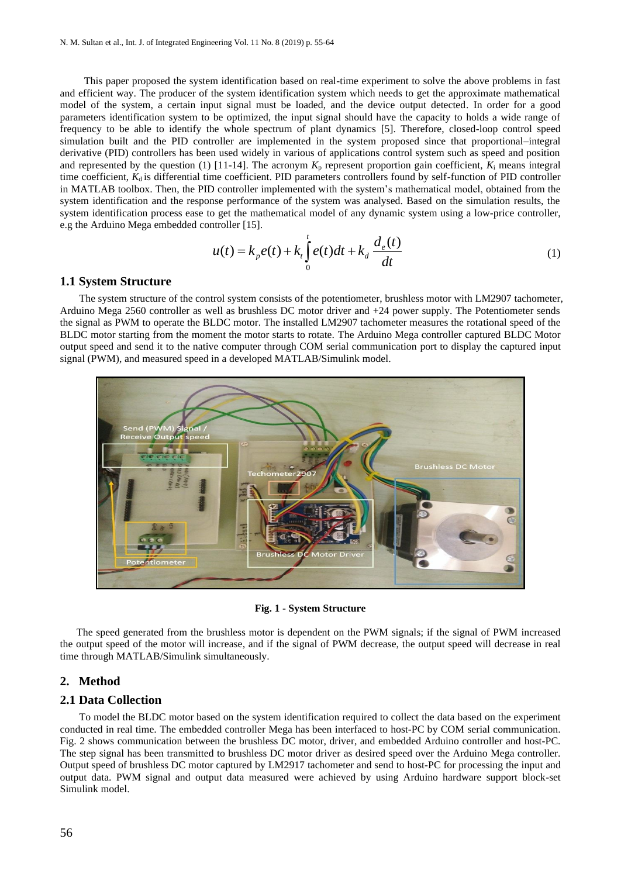This paper proposed the system identification based on real-time experiment to solve the above problems in fast and efficient way. The producer of the system identification system which needs to get the approximate mathematical model of the system, a certain input signal must be loaded, and the device output detected. In order for a good parameters identification system to be optimized, the input signal should have the capacity to holds a wide range of frequency to be able to identify the whole spectrum of plant dynamics [5]. Therefore, closed-loop control speed simulation built and the PID controller are implemented in the system proposed since that proportional–integral derivative (PID) controllers has been used widely in various of applications control system such as speed and position and represented by the question (1) [11-14]. The acronym  $K_p$  represent proportion gain coefficient,  $K_i$  means integral time coefficient,  $K_d$  is differential time coefficient. PID parameters controllers found by self-function of PID controller in MATLAB toolbox. Then, the PID controller implemented with the system's mathematical model, obtained from the system identification and the response performance of the system was analysed. Based on the simulation results, the system identification process ease to get the mathematical model of any dynamic system using a low-price controller, e.g the Arduino Mega embedded controller [15].

$$
u(t) = k_p e(t) + k_t \int_0^t e(t)dt + k_d \frac{d_e(t)}{dt}
$$
\n(1)

#### **1.1 System Structure**

 The system structure of the control system consists of the potentiometer, brushless motor with LM2907 tachometer, Arduino Mega 2560 controller as well as brushless DC motor driver and +24 power supply. The Potentiometer sends the signal as PWM to operate the BLDC motor. The installed LM2907 tachometer measures the rotational speed of the BLDC motor starting from the moment the motor starts to rotate. The Arduino Mega controller captured BLDC Motor output speed and send it to the native computer through COM serial communication port to display the captured input signal (PWM), and measured speed in a developed MATLAB/Simulink model.



**Fig. 1 - System Structure**

 The speed generated from the brushless motor is dependent on the PWM signals; if the signal of PWM increased the output speed of the motor will increase, and if the signal of PWM decrease, the output speed will decrease in real time through MATLAB/Simulink simultaneously.

#### **2. Method**

#### **2.1 Data Collection**

 To model the BLDC motor based on the system identification required to collect the data based on the experiment conducted in real time. The embedded controller Mega has been interfaced to host-PC by COM serial communication. Fig. 2 shows communication between the brushless DC motor, driver, and embedded Arduino controller and host-PC. The step signal has been transmitted to brushless DC motor driver as desired speed over the Arduino Mega controller. Output speed of brushless DC motor captured by LM2917 tachometer and send to host-PC for processing the input and output data. PWM signal and output data measured were achieved by using Arduino hardware support block-set Simulink model.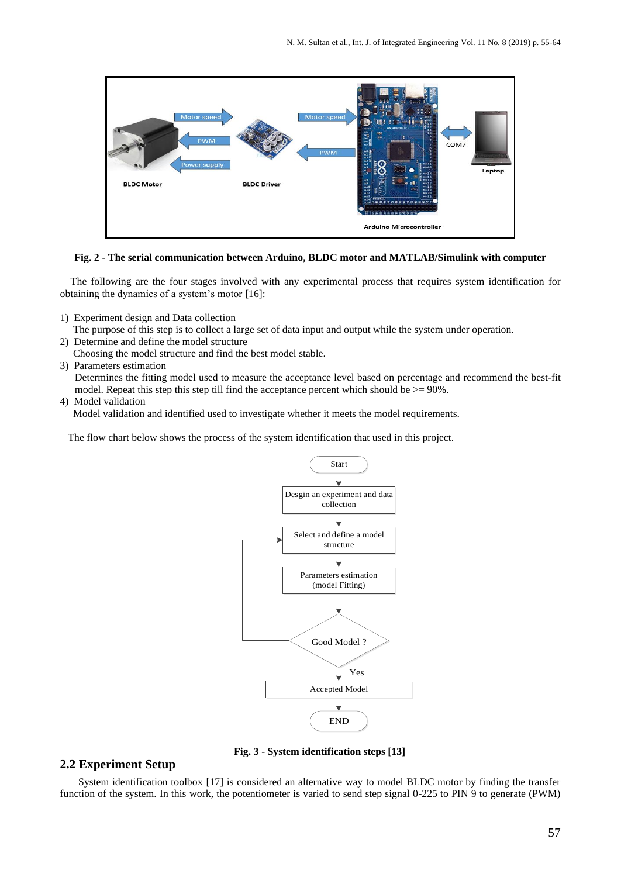

#### **Fig. 2 - The serial communication between Arduino, BLDC motor and MATLAB/Simulink with computer**

 The following are the four stages involved with any experimental process that requires system identification for obtaining the dynamics of a system's motor [16]:

- 1) Experiment design and Data collection
- The purpose of this step is to collect a large set of data input and output while the system under operation.
- 2) Determine and define the model structure
- Choosing the model structure and find the best model stable.
- 3) Parameters estimation

Determines the fitting model used to measure the acceptance level based on percentage and recommend the best-fit model. Repeat this step this step till find the acceptance percent which should be  $> = 90\%$ .

#### 4) Model validation

Model validation and identified used to investigate whether it meets the model requirements.

The flow chart below shows the process of the system identification that used in this project.



**Fig. 3 - System identification steps [13]**

#### **2.2 Experiment Setup**

System identification toolbox [17] is considered an alternative way to model BLDC motor by finding the transfer function of the system. In this work, the potentiometer is varied to send step signal 0-225 to PIN 9 to generate (PWM)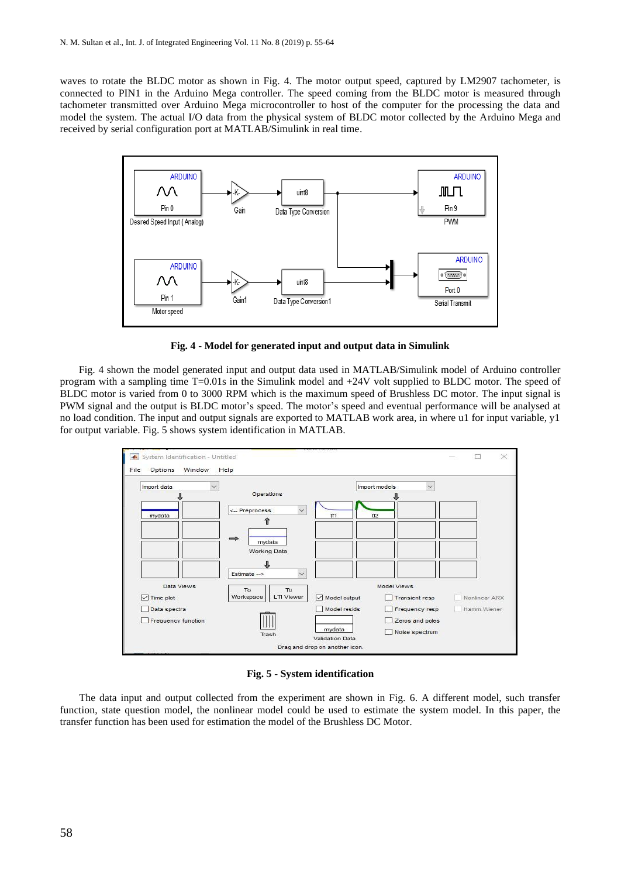waves to rotate the BLDC motor as shown in Fig. 4. The motor output speed, captured by LM2907 tachometer, is connected to PIN1 in the Arduino Mega controller. The speed coming from the BLDC motor is measured through tachometer transmitted over Arduino Mega microcontroller to host of the computer for the processing the data and model the system. The actual I/O data from the physical system of BLDC motor collected by the Arduino Mega and received by serial configuration port at MATLAB/Simulink in real time.



**Fig. 4 - Model for generated input and output data in Simulink**

Fig. 4 shown the model generated input and output data used in MATLAB/Simulink model of Arduino controller program with a sampling time T=0.01s in the Simulink model and +24V volt supplied to BLDC motor. The speed of BLDC motor is varied from 0 to 3000 RPM which is the maximum speed of Brushless DC motor. The input signal is PWM signal and the output is BLDC motor's speed. The motor's speed and eventual performance will be analysed at no load condition. The input and output signals are exported to MATLAB work area, in where u1 for input variable, y1 for output variable. Fig. 5 shows system identification in MATLAB.



**Fig. 5 - System identification**

 The data input and output collected from the experiment are shown in Fig. 6. A different model, such transfer function, state question model, the nonlinear model could be used to estimate the system model. In this paper, the transfer function has been used for estimation the model of the Brushless DC Motor.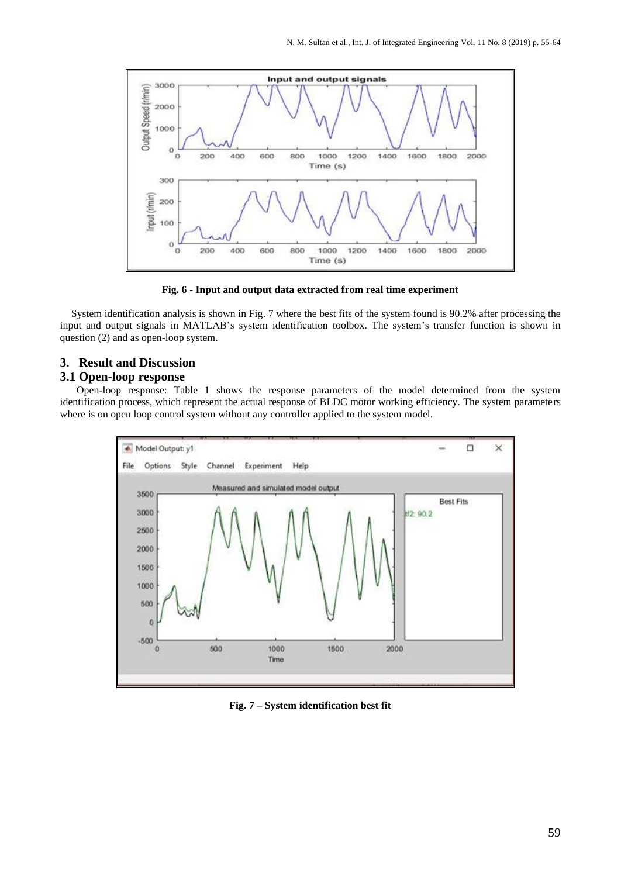

**Fig. 6 - Input and output data extracted from real time experiment**

System identification analysis is shown in Fig. 7 where the best fits of the system found is 90.2% after processing the input and output signals in MATLAB's system identification toolbox. The system's transfer function is shown in question (2) and as open-loop system.

### **3. Result and Discussion**

#### **3.1 Open-loop response**

 Open-loop response: Table 1 shows the response parameters of the model determined from the system identification process, which represent the actual response of BLDC motor working efficiency. The system parameters where is on open loop control system without any controller applied to the system model.



**Fig. 7 – System identification best fit**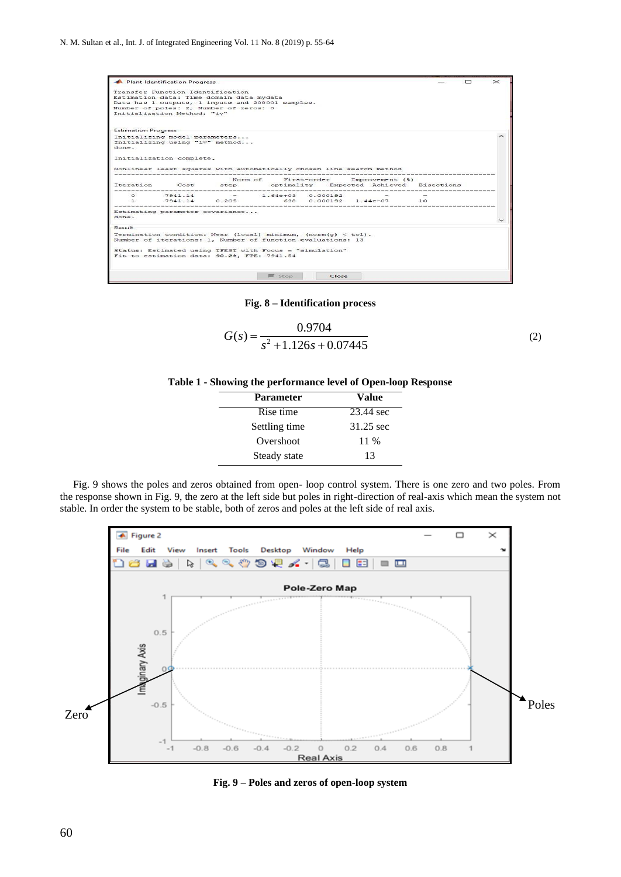

**Fig. 8 – Identification process**

$$
G(s) = \frac{0.9704}{s^2 + 1.126s + 0.07445}
$$
 (2)



| <b>Parameter</b> | Value     |  |
|------------------|-----------|--|
| Rise time        | 23.44 sec |  |
| Settling time    | 31.25 sec |  |
| Overshoot        | 11 %      |  |
| Steady state     | 13        |  |

 Fig. 9 shows the poles and zeros obtained from open- loop control system. There is one zero and two poles. From the response shown in Fig. 9, the zero at the left side but poles in right-direction of real-axis which mean the system not stable. In order the system to be stable, both of zeros and poles at the left side of real axis.



**Fig. 9 – Poles and zeros of open-loop system**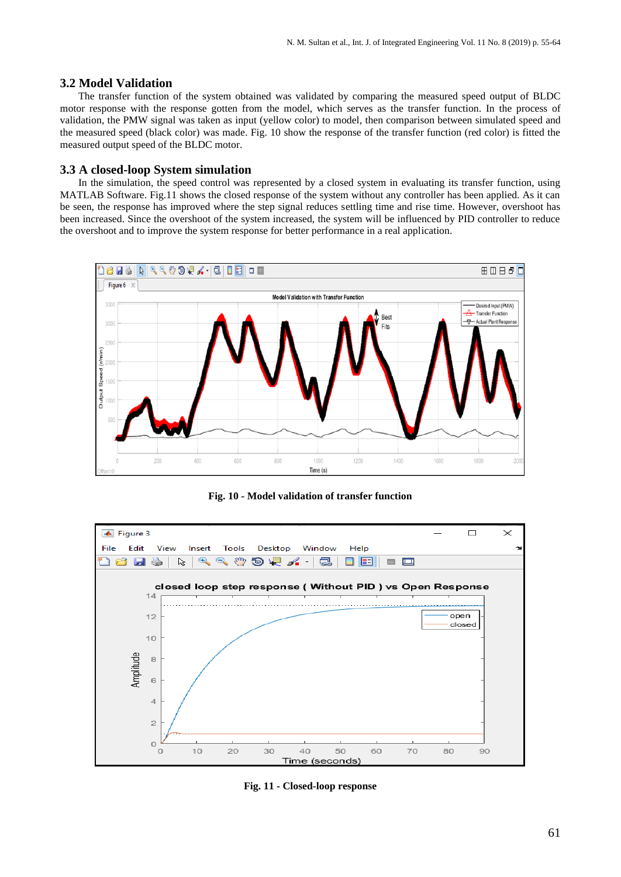#### **3.2 Model Validation**

The transfer function of the system obtained was validated by comparing the measured speed output of BLDC motor response with the response gotten from the model, which serves as the transfer function. In the process of validation, the PMW signal was taken as input (yellow color) to model, then comparison between simulated speed and the measured speed (black color) was made. Fig. 10 show the response of the transfer function (red color) is fitted the measured output speed of the BLDC motor.

#### **3.3 A closed-loop System simulation**

 In the simulation, the speed control was represented by a closed system in evaluating its transfer function, using MATLAB Software. Fig.11 shows the closed response of the system without any controller has been applied. As it can be seen, the response has improved where the step signal reduces settling time and rise time. However, overshoot has been increased. Since the overshoot of the system increased, the system will be influenced by PID controller to reduce the overshoot and to improve the system response for better performance in a real application.



**Fig. 10 - Model validation of transfer function** 



**Fig. 11 - Closed-loop response**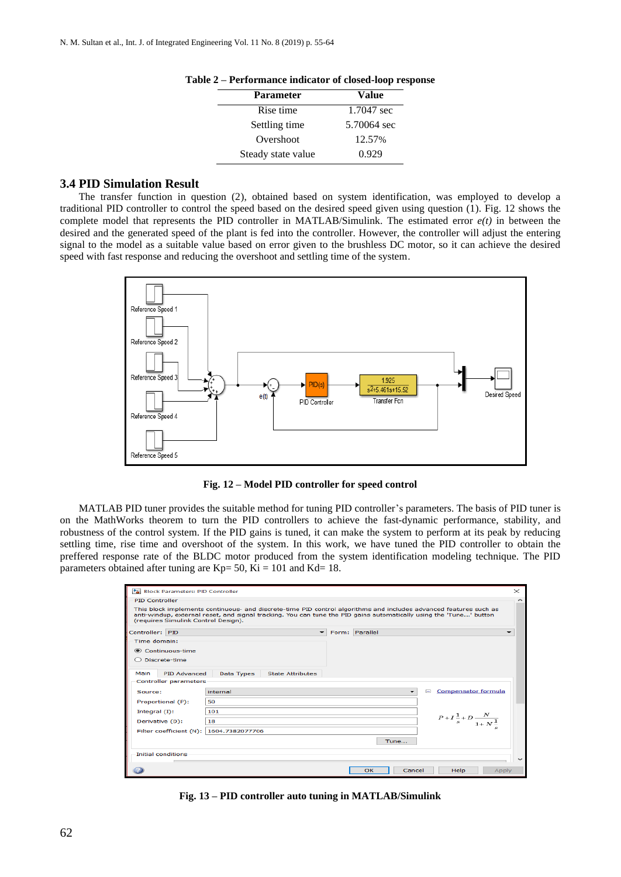| <b>Parameter</b>   | Value       |  |
|--------------------|-------------|--|
| Rise time          | 1.7047 sec  |  |
| Settling time      | 5.70064 sec |  |
| Overshoot          | 12.57%      |  |
| Steady state value | 0.929       |  |

**Table 2 – Performance indicator of closed-loop response** 

#### **3.4 PID Simulation Result**

The transfer function in question (2), obtained based on system identification, was employed to develop a traditional PID controller to control the speed based on the desired speed given using question (1). Fig. 12 shows the complete model that represents the PID controller in MATLAB/Simulink. The estimated error *e(t)* in between the desired and the generated speed of the plant is fed into the controller. However, the controller will adjust the entering signal to the model as a suitable value based on error given to the brushless DC motor, so it can achieve the desired speed with fast response and reducing the overshoot and settling time of the system.



**Fig. 12 – Model PID controller for speed control**

MATLAB PID tuner provides the suitable method for tuning PID controller's parameters. The basis of PID tuner is on the MathWorks theorem to turn the PID controllers to achieve the fast-dynamic performance, stability, and robustness of the control system. If the PID gains is tuned, it can make the system to perform at its peak by reducing settling time, rise time and overshoot of the system. In this work, we have tuned the PID controller to obtain the preffered response rate of the BLDC motor produced from the system identification modeling technique. The PID parameters obtained after tuning are  $Kp= 50$ ,  $Ki = 101$  and  $Kd= 18$ .

| Block Parameters: PID Controller        |                                                                                                                                                                                                                                         | $\times$            |
|-----------------------------------------|-----------------------------------------------------------------------------------------------------------------------------------------------------------------------------------------------------------------------------------------|---------------------|
| <b>PID Controller</b>                   |                                                                                                                                                                                                                                         | $\hat{\phantom{1}}$ |
| (requires Simulink Control Design).     | This block implements continuous- and discrete-time PID control algorithms and includes advanced features such as<br>anti-windup, external reset, and signal tracking. You can tune the PID gains automatically using the 'Tune' button |                     |
| Controller: PID                         | Form: Parallel<br>$\overline{\phantom{0}}$                                                                                                                                                                                              |                     |
| Time domain:                            |                                                                                                                                                                                                                                         |                     |
| Continuous-time                         |                                                                                                                                                                                                                                         |                     |
| ◯ Discrete-time                         |                                                                                                                                                                                                                                         |                     |
|                                         |                                                                                                                                                                                                                                         |                     |
| Main<br><b>PID Advanced</b>             | Data Types<br><b>State Attributes</b>                                                                                                                                                                                                   |                     |
| <b>Controller parameters</b>            |                                                                                                                                                                                                                                         |                     |
| Source:                                 | <b>Compensator formula</b><br>$\Box$<br>internal                                                                                                                                                                                        |                     |
| Proportional (P):                       | 50                                                                                                                                                                                                                                      |                     |
| Integral $(1)$ :                        | 101                                                                                                                                                                                                                                     |                     |
| Derivative (D):                         | $P + I\frac{1}{s} + D\frac{N}{1+N^{\frac{1}{n}}}$<br>18                                                                                                                                                                                 |                     |
| Filter coefficient (N): 1604.7382077706 |                                                                                                                                                                                                                                         |                     |
|                                         | Tune                                                                                                                                                                                                                                    |                     |
|                                         |                                                                                                                                                                                                                                         |                     |
| <b>Initial conditions</b>               |                                                                                                                                                                                                                                         |                     |
|                                         | OK<br>Cancel<br>Help<br>Apply                                                                                                                                                                                                           |                     |

**Fig. 13 – PID controller auto tuning in MATLAB/Simulink**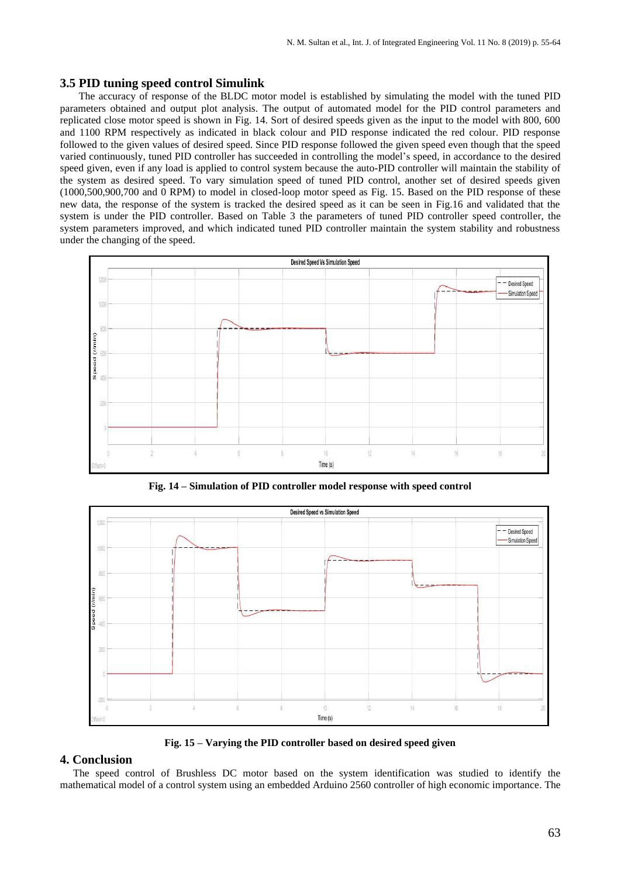#### **3.5 PID tuning speed control Simulink**

The accuracy of response of the BLDC motor model is established by simulating the model with the tuned PID parameters obtained and output plot analysis. The output of automated model for the PID control parameters and replicated close motor speed is shown in Fig. 14. Sort of desired speeds given as the input to the model with 800, 600 and 1100 RPM respectively as indicated in black colour and PID response indicated the red colour. PID response followed to the given values of desired speed. Since PID response followed the given speed even though that the speed varied continuously, tuned PID controller has succeeded in controlling the model's speed, in accordance to the desired speed given, even if any load is applied to control system because the auto-PID controller will maintain the stability of the system as desired speed. To vary simulation speed of tuned PID control, another set of desired speeds given (1000,500,900,700 and 0 RPM) to model in closed-loop motor speed as Fig. 15. Based on the PID response of these new data, the response of the system is tracked the desired speed as it can be seen in Fig.16 and validated that the system is under the PID controller. Based on Table 3 the parameters of tuned PID controller speed controller, the system parameters improved, and which indicated tuned PID controller maintain the system stability and robustness under the changing of the speed.



**Fig. 14 – Simulation of PID controller model response with speed control**



**Fig. 15 – Varying the PID controller based on desired speed given**

#### **4. Conclusion**

 The speed control of Brushless DC motor based on the system identification was studied to identify the mathematical model of a control system using an embedded Arduino 2560 controller of high economic importance. The